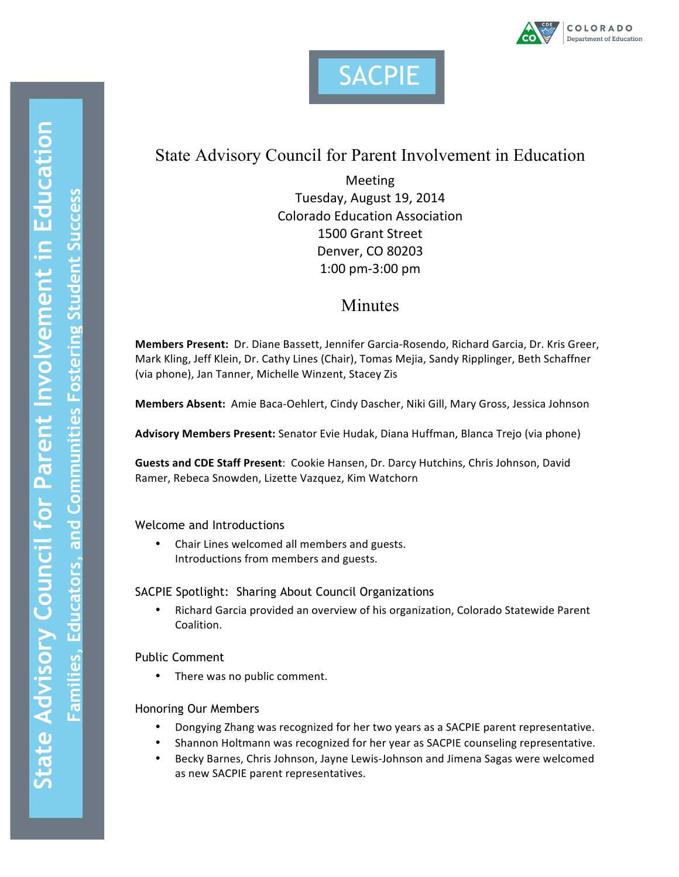



# State Advisory Council for Parent Involvement in Education

Meeting Tuesday, August 19, 2014 Colorado Education Association 1500 Grant Street Denver, CO 80203 1:00 pm-3:00 pm

# Minutes

**Members Present:** Dr. Diane Bassett, Jennifer Garcia-Rosendo, Richard Garcia, Dr. Kris Greer, Mark Kling, Jeff Klein, Dr. Cathy Lines (Chair), Tomas Mejia, Sandy Ripplinger, Beth Schaffner (via phone), Jan Tanner, Michelle Winzent, Stacey Zis

Members Absent: Amie Baca-Oehlert, Cindy Dascher, Niki Gill, Mary Gross, Jessica Johnson

Advisory Members Present: Senator Evie Hudak, Diana Huffman, Blanca Trejo (via phone)

**Guests and CDE Staff Present**: Cookie Hansen, Dr. Darcy Hutchins, Chris Johnson, David Ramer, Rebeca Snowden, Lizette Vazquez, Kim Watchorn

Welcome and Introductions

• Chair Lines welcomed all members and guests. Introductions from members and guests.

SACPIE Spotlight: Sharing About Council Organizations

• Richard Garcia provided an overview of his organization, Colorado Statewide Parent Coalition.

Public Comment

• There was no public comment.

# Honoring Our Members

- Dongying Zhang was recognized for her two years as a SACPIE parent representative.
- Shannon Holtmann was recognized for her year as SACPIE counseling representative.
- Becky Barnes, Chris Johnson, Jayne Lewis-Johnson and Jimena Sagas were welcomed as new SACPIE parent representatives.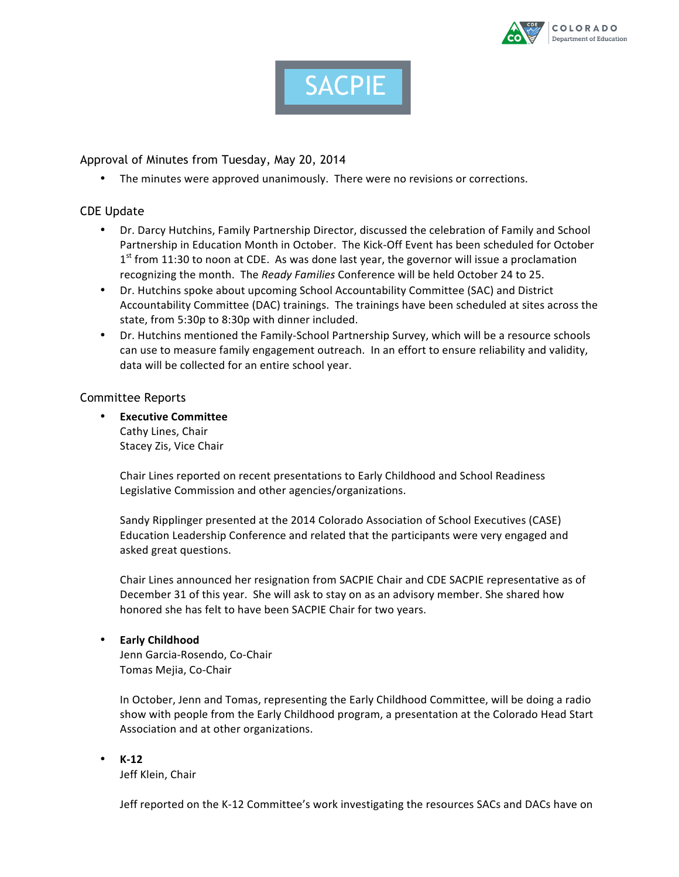



# Approval of Minutes from Tuesday, May 20, 2014

• The minutes were approved unanimously. There were no revisions or corrections.

## CDE Update

- Dr. Darcy Hutchins, Family Partnership Director, discussed the celebration of Family and School Partnership in Education Month in October. The Kick-Off Event has been scheduled for October  $1<sup>st</sup>$  from 11:30 to noon at CDE. As was done last year, the governor will issue a proclamation recognizing the month. The *Ready Families* Conference will be held October 24 to 25.
- Dr. Hutchins spoke about upcoming School Accountability Committee (SAC) and District Accountability Committee (DAC) trainings. The trainings have been scheduled at sites across the state, from 5:30p to 8:30p with dinner included.
- Dr. Hutchins mentioned the Family-School Partnership Survey, which will be a resource schools can use to measure family engagement outreach. In an effort to ensure reliability and validity, data will be collected for an entire school year.

## Committee Reports

• **Executive Committee** Cathy Lines, Chair Stacey Zis, Vice Chair

> Chair Lines reported on recent presentations to Early Childhood and School Readiness Legislative Commission and other agencies/organizations.

Sandy Ripplinger presented at the 2014 Colorado Association of School Executives (CASE) Education Leadership Conference and related that the participants were very engaged and asked great questions.

Chair Lines announced her resignation from SACPIE Chair and CDE SACPIE representative as of December 31 of this year. She will ask to stay on as an advisory member. She shared how honored she has felt to have been SACPIE Chair for two years.

## • **Early Childhood**

Jenn Garcia-Rosendo, Co-Chair Tomas Mejia, Co-Chair

In October, Jenn and Tomas, representing the Early Childhood Committee, will be doing a radio show with people from the Early Childhood program, a presentation at the Colorado Head Start Association and at other organizations.

• **K-12** Jeff Klein, Chair

Jeff reported on the K-12 Committee's work investigating the resources SACs and DACs have on